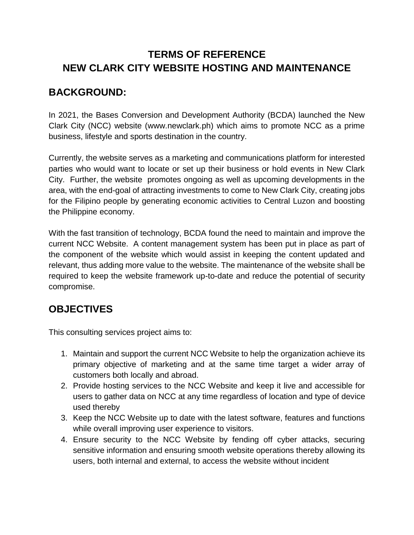# **TERMS OF REFERENCE NEW CLARK CITY WEBSITE HOSTING AND MAINTENANCE**

## **BACKGROUND:**

In 2021, the Bases Conversion and Development Authority (BCDA) launched the New Clark City (NCC) website (www.newclark.ph) which aims to promote NCC as a prime business, lifestyle and sports destination in the country.

Currently, the website serves as a marketing and communications platform for interested parties who would want to locate or set up their business or hold events in New Clark City. Further, the website promotes ongoing as well as upcoming developments in the area, with the end-goal of attracting investments to come to New Clark City, creating jobs for the Filipino people by generating economic activities to Central Luzon and boosting the Philippine economy.

With the fast transition of technology, BCDA found the need to maintain and improve the current NCC Website. A content management system has been put in place as part of the component of the website which would assist in keeping the content updated and relevant, thus adding more value to the website. The maintenance of the website shall be required to keep the website framework up-to-date and reduce the potential of security compromise.

# **OBJECTIVES**

This consulting services project aims to:

- 1. Maintain and support the current NCC Website to help the organization achieve its primary objective of marketing and at the same time target a wider array of customers both locally and abroad.
- 2. Provide hosting services to the NCC Website and keep it live and accessible for users to gather data on NCC at any time regardless of location and type of device used thereby
- 3. Keep the NCC Website up to date with the latest software, features and functions while overall improving user experience to visitors.
- 4. Ensure security to the NCC Website by fending off cyber attacks, securing sensitive information and ensuring smooth website operations thereby allowing its users, both internal and external, to access the website without incident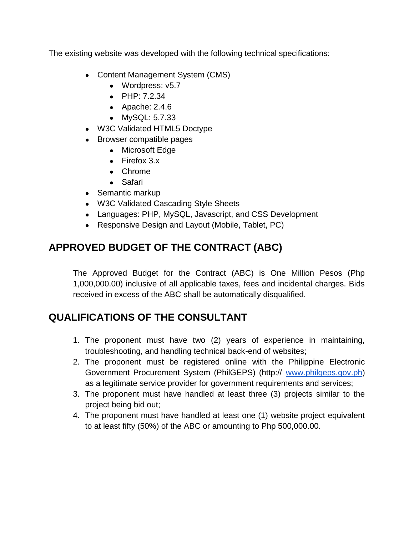The existing website was developed with the following technical specifications:

- Content Management System (CMS)
	- Wordpress: v5.7
	- PHP: 7.2.34
	- $\bullet$  Apache: 2.4.6
	- MySQL: 5.7.33
- W3C Validated HTML5 Doctype
- Browser compatible pages
	- Microsoft Edge
	- $\bullet$  Firefox 3.x
	- Chrome
	- Safari
- Semantic markup
- W3C Validated Cascading Style Sheets
- Languages: PHP, MySQL, Javascript, and CSS Development
- Responsive Design and Layout (Mobile, Tablet, PC)

# **APPROVED BUDGET OF THE CONTRACT (ABC)**

The Approved Budget for the Contract (ABC) is One Million Pesos (Php 1,000,000.00) inclusive of all applicable taxes, fees and incidental charges. Bids received in excess of the ABC shall be automatically disqualified.

# **QUALIFICATIONS OF THE CONSULTANT**

- 1. The proponent must have two (2) years of experience in maintaining, troubleshooting, and handling technical back-end of websites;
- 2. The proponent must be registered online with the Philippine Electronic Government Procurement System (PhilGEPS) (http:// [www.philgeps.gov.ph\)](http://www.philgeps.gov.ph/) as a legitimate service provider for government requirements and services;
- 3. The proponent must have handled at least three (3) projects similar to the project being bid out;
- 4. The proponent must have handled at least one (1) website project equivalent to at least fifty (50%) of the ABC or amounting to Php 500,000.00.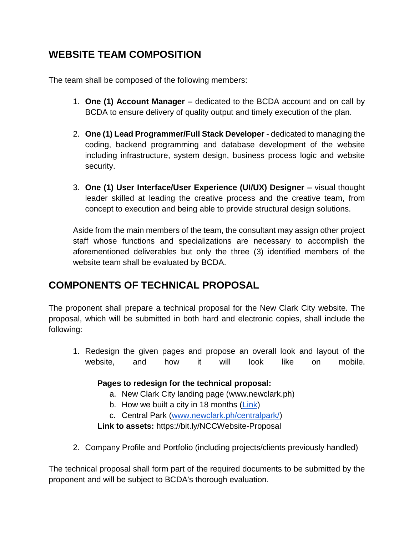# **WEBSITE TEAM COMPOSITION**

The team shall be composed of the following members:

- 1. **One (1) Account Manager –** dedicated to the BCDA account and on call by BCDA to ensure delivery of quality output and timely execution of the plan.
- 2. **One (1) Lead Programmer/Full Stack Developer** dedicated to managing the coding, backend programming and database development of the website including infrastructure, system design, business process logic and website security.
- 3. **One (1) User Interface/User Experience (UI/UX) Designer –** visual thought leader skilled at leading the creative process and the creative team, from concept to execution and being able to provide structural design solutions.

Aside from the main members of the team, the consultant may assign other project staff whose functions and specializations are necessary to accomplish the aforementioned deliverables but only the three (3) identified members of the website team shall be evaluated by BCDA.

# **COMPONENTS OF TECHNICAL PROPOSAL**

The proponent shall prepare a technical proposal for the New Clark City website. The proposal, which will be submitted in both hard and electronic copies, shall include the following:

1. Redesign the given pages and propose an overall look and layout of the website, and how it will look like on mobile.

#### **Pages to redesign for the technical proposal:**

- a. New Clark City landing page (www.newclark.ph)
- b. How we built a city in 18 months [\(Link\)](https://www.newclark.ph/city-built-in-18-months/)
- c. Central Park [\(www.newclark.ph/centralpark/\)](http://www.newclark.ph/centralpark/)

**Link to assets:** https://bit.ly/NCCWebsite-Proposal

2. Company Profile and Portfolio (including projects/clients previously handled)

The technical proposal shall form part of the required documents to be submitted by the proponent and will be subject to BCDA's thorough evaluation.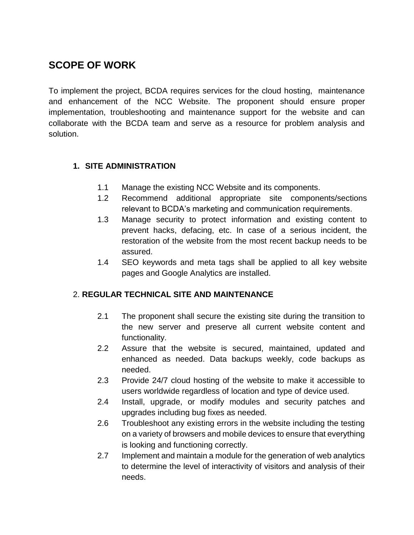# **SCOPE OF WORK**

To implement the project, BCDA requires services for the cloud hosting, maintenance and enhancement of the NCC Website. The proponent should ensure proper implementation, troubleshooting and maintenance support for the website and can collaborate with the BCDA team and serve as a resource for problem analysis and solution.

#### **1. SITE ADMINISTRATION**

- 1.1 Manage the existing NCC Website and its components.
- 1.2 Recommend additional appropriate site components/sections relevant to BCDA's marketing and communication requirements.
- 1.3 Manage security to protect information and existing content to prevent hacks, defacing, etc. In case of a serious incident, the restoration of the website from the most recent backup needs to be assured.
- 1.4 SEO keywords and meta tags shall be applied to all key website pages and Google Analytics are installed.

#### 2. **REGULAR TECHNICAL SITE AND MAINTENANCE**

- 2.1 The proponent shall secure the existing site during the transition to the new server and preserve all current website content and functionality.
- 2.2 Assure that the website is secured, maintained, updated and enhanced as needed. Data backups weekly, code backups as needed.
- 2.3 Provide 24/7 cloud hosting of the website to make it accessible to users worldwide regardless of location and type of device used.
- 2.4 Install, upgrade, or modify modules and security patches and upgrades including bug fixes as needed.
- 2.6 Troubleshoot any existing errors in the website including the testing on a variety of browsers and mobile devices to ensure that everything is looking and functioning correctly.
- 2.7 Implement and maintain a module for the generation of web analytics to determine the level of interactivity of visitors and analysis of their needs.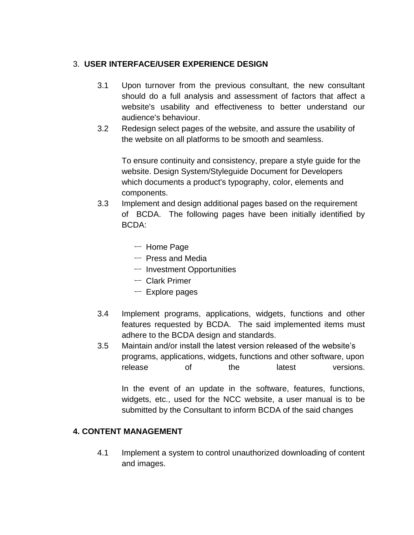#### 3. **USER INTERFACE/USER EXPERIENCE DESIGN**

- 3.1 Upon turnover from the previous consultant, the new consultant should do a full analysis and assessment of factors that affect a website's usability and effectiveness to better understand our audience's behaviour.
- 3.2 Redesign select pages of the website, and assure the usability of the website on all platforms to be smooth and seamless.

To ensure continuity and consistency, prepare a style guide for the website. Design System/Styleguide Document for Developers which documents a product's typography, color, elements and components.

- 3.3 Implement and design additional pages based on the requirement of BCDA. The following pages have been initially identified by BCDA:
	- ー Home Page
	- $-$  Press and Media
	- ー Investment Opportunities
	- ー Clark Primer
	- $-$  Explore pages
- 3.4 Implement programs, applications, widgets, functions and other features requested by BCDA. The said implemented items must adhere to the BCDA design and standards.
- 3.5 Maintain and/or install the latest version released of the website's programs, applications, widgets, functions and other software, upon release of the latest versions.

In the event of an update in the software, features, functions, widgets, etc., used for the NCC website, a user manual is to be submitted by the Consultant to inform BCDA of the said changes

#### **4. CONTENT MANAGEMENT**

4.1 Implement a system to control unauthorized downloading of content and images.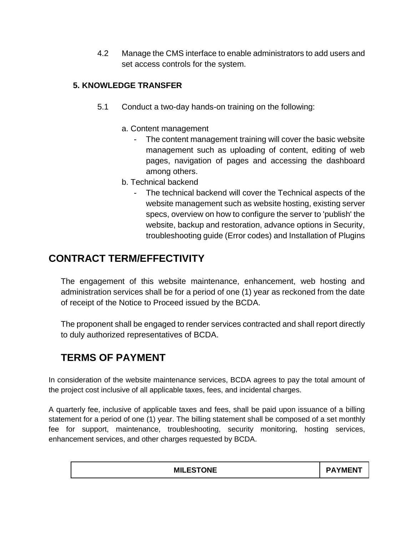4.2 Manage the CMS interface to enable administrators to add users and set access controls for the system.

#### **5. KNOWLEDGE TRANSFER**

- 5.1 Conduct a two-day hands-on training on the following:
	- a. Content management
		- The content management training will cover the basic website management such as uploading of content, editing of web pages, navigation of pages and accessing the dashboard among others.
	- b. Technical backend
		- The technical backend will cover the Technical aspects of the website management such as website hosting, existing server specs, overview on how to configure the server to 'publish' the website, backup and restoration, advance options in Security, troubleshooting guide (Error codes) and Installation of Plugins

## **CONTRACT TERM/EFFECTIVITY**

The engagement of this website maintenance, enhancement, web hosting and administration services shall be for a period of one (1) year as reckoned from the date of receipt of the Notice to Proceed issued by the BCDA.

The proponent shall be engaged to render services contracted and shall report directly to duly authorized representatives of BCDA.

# **TERMS OF PAYMENT**

In consideration of the website maintenance services, BCDA agrees to pay the total amount of the project cost inclusive of all applicable taxes, fees, and incidental charges.

A quarterly fee, inclusive of applicable taxes and fees, shall be paid upon issuance of a billing statement for a period of one (1) year. The billing statement shall be composed of a set monthly fee for support, maintenance, troubleshooting, security monitoring, hosting services, enhancement services, and other charges requested by BCDA.

| <b>MILESTONE</b> | D A<br>WEN |
|------------------|------------|
|                  |            |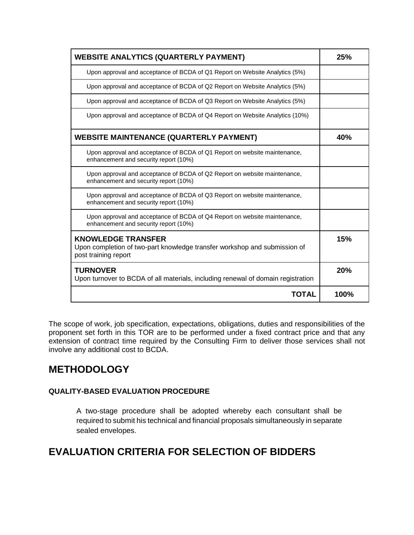| <b>WEBSITE ANALYTICS (QUARTERLY PAYMENT)</b>                                                                                   | 25%  |
|--------------------------------------------------------------------------------------------------------------------------------|------|
| Upon approval and acceptance of BCDA of Q1 Report on Website Analytics (5%)                                                    |      |
| Upon approval and acceptance of BCDA of Q2 Report on Website Analytics (5%)                                                    |      |
| Upon approval and acceptance of BCDA of Q3 Report on Website Analytics (5%)                                                    |      |
| Upon approval and acceptance of BCDA of Q4 Report on Website Analytics (10%)                                                   |      |
| <b>WEBSITE MAINTENANCE (QUARTERLY PAYMENT)</b>                                                                                 | 40%  |
| Upon approval and acceptance of BCDA of Q1 Report on website maintenance,<br>enhancement and security report (10%)             |      |
| Upon approval and acceptance of BCDA of Q2 Report on website maintenance,<br>enhancement and security report (10%)             |      |
| Upon approval and acceptance of BCDA of Q3 Report on website maintenance,<br>enhancement and security report (10%)             |      |
| Upon approval and acceptance of BCDA of Q4 Report on website maintenance,<br>enhancement and security report (10%)             |      |
| <b>KNOWLEDGE TRANSFER</b><br>Upon completion of two-part knowledge transfer workshop and submission of<br>post training report | 15%  |
| <b>TURNOVER</b><br>Upon turnover to BCDA of all materials, including renewal of domain registration                            | 20%  |
| TOTAL                                                                                                                          | 100% |

The scope of work, job specification, expectations, obligations, duties and responsibilities of the proponent set forth in this TOR are to be performed under a fixed contract price and that any extension of contract time required by the Consulting Firm to deliver those services shall not involve any additional cost to BCDA.

## **METHODOLOGY**

#### **QUALITY-BASED EVALUATION PROCEDURE**

A two-stage procedure shall be adopted whereby each consultant shall be required to submit his technical and financial proposals simultaneously in separate sealed envelopes.

## **EVALUATION CRITERIA FOR SELECTION OF BIDDERS**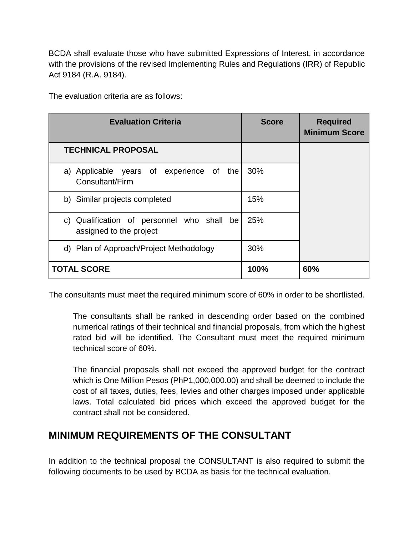BCDA shall evaluate those who have submitted Expressions of Interest, in accordance with the provisions of the revised Implementing Rules and Regulations (IRR) of Republic Act 9184 (R.A. 9184).

| <b>Evaluation Criteria</b>                                            | <b>Score</b> | <b>Required</b><br><b>Minimum Score</b> |
|-----------------------------------------------------------------------|--------------|-----------------------------------------|
| <b>TECHNICAL PROPOSAL</b>                                             |              |                                         |
| a) Applicable years of experience of the<br>Consultant/Firm           | 30%          |                                         |
| b) Similar projects completed                                         | 15%          |                                         |
| c) Qualification of personnel who shall be<br>assigned to the project | 25%          |                                         |
| d) Plan of Approach/Project Methodology                               | 30%          |                                         |
| <b>TOTAL SCORE</b>                                                    | 100%         | 60%                                     |

The evaluation criteria are as follows:

The consultants must meet the required minimum score of 60% in order to be shortlisted.

The consultants shall be ranked in descending order based on the combined numerical ratings of their technical and financial proposals, from which the highest rated bid will be identified. The Consultant must meet the required minimum technical score of 60%.

The financial proposals shall not exceed the approved budget for the contract which is One Million Pesos (PhP1,000,000.00) and shall be deemed to include the cost of all taxes, duties, fees, levies and other charges imposed under applicable laws. Total calculated bid prices which exceed the approved budget for the contract shall not be considered.

# **MINIMUM REQUIREMENTS OF THE CONSULTANT**

In addition to the technical proposal the CONSULTANT is also required to submit the following documents to be used by BCDA as basis for the technical evaluation.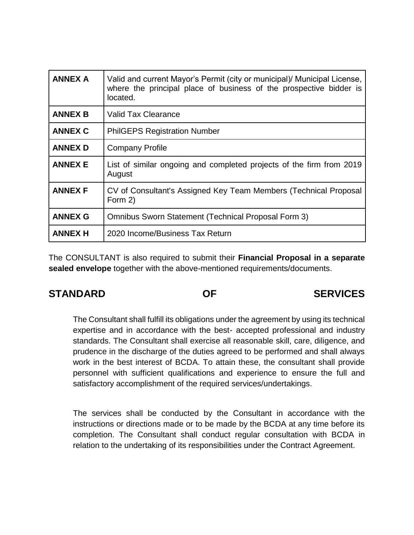| <b>ANNEX A</b> | Valid and current Mayor's Permit (city or municipal)/ Municipal License,<br>where the principal place of business of the prospective bidder is<br>located. |
|----------------|------------------------------------------------------------------------------------------------------------------------------------------------------------|
| <b>ANNEX B</b> | <b>Valid Tax Clearance</b>                                                                                                                                 |
| <b>ANNEX C</b> | <b>PhilGEPS Registration Number</b>                                                                                                                        |
| <b>ANNEX D</b> | <b>Company Profile</b>                                                                                                                                     |
| <b>ANNEX E</b> | List of similar ongoing and completed projects of the firm from 2019<br>August                                                                             |
| <b>ANNEX F</b> | CV of Consultant's Assigned Key Team Members (Technical Proposal<br>Form 2)                                                                                |
| <b>ANNEX G</b> | Omnibus Sworn Statement (Technical Proposal Form 3)                                                                                                        |
| <b>ANNEX H</b> | 2020 Income/Business Tax Return                                                                                                                            |

The CONSULTANT is also required to submit their **Financial Proposal in a separate sealed envelope** together with the above-mentioned requirements/documents.

## **STANDARD OF SERVICES**

The Consultant shall fulfill its obligations under the agreement by using its technical expertise and in accordance with the best- accepted professional and industry standards. The Consultant shall exercise all reasonable skill, care, diligence, and prudence in the discharge of the duties agreed to be performed and shall always work in the best interest of BCDA. To attain these, the consultant shall provide personnel with sufficient qualifications and experience to ensure the full and satisfactory accomplishment of the required services/undertakings.

The services shall be conducted by the Consultant in accordance with the instructions or directions made or to be made by the BCDA at any time before its completion. The Consultant shall conduct regular consultation with BCDA in relation to the undertaking of its responsibilities under the Contract Agreement.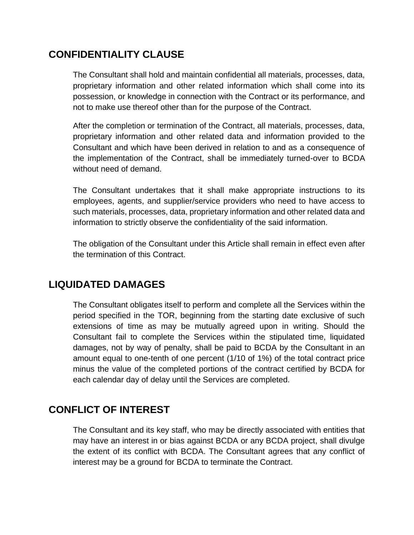## **CONFIDENTIALITY CLAUSE**

The Consultant shall hold and maintain confidential all materials, processes, data, proprietary information and other related information which shall come into its possession, or knowledge in connection with the Contract or its performance, and not to make use thereof other than for the purpose of the Contract.

After the completion or termination of the Contract, all materials, processes, data, proprietary information and other related data and information provided to the Consultant and which have been derived in relation to and as a consequence of the implementation of the Contract, shall be immediately turned-over to BCDA without need of demand.

The Consultant undertakes that it shall make appropriate instructions to its employees, agents, and supplier/service providers who need to have access to such materials, processes, data, proprietary information and other related data and information to strictly observe the confidentiality of the said information.

The obligation of the Consultant under this Article shall remain in effect even after the termination of this Contract.

#### **LIQUIDATED DAMAGES**

The Consultant obligates itself to perform and complete all the Services within the period specified in the TOR, beginning from the starting date exclusive of such extensions of time as may be mutually agreed upon in writing. Should the Consultant fail to complete the Services within the stipulated time, liquidated damages, not by way of penalty, shall be paid to BCDA by the Consultant in an amount equal to one-tenth of one percent (1/10 of 1%) of the total contract price minus the value of the completed portions of the contract certified by BCDA for each calendar day of delay until the Services are completed.

# **CONFLICT OF INTEREST**

The Consultant and its key staff, who may be directly associated with entities that may have an interest in or bias against BCDA or any BCDA project, shall divulge the extent of its conflict with BCDA. The Consultant agrees that any conflict of interest may be a ground for BCDA to terminate the Contract.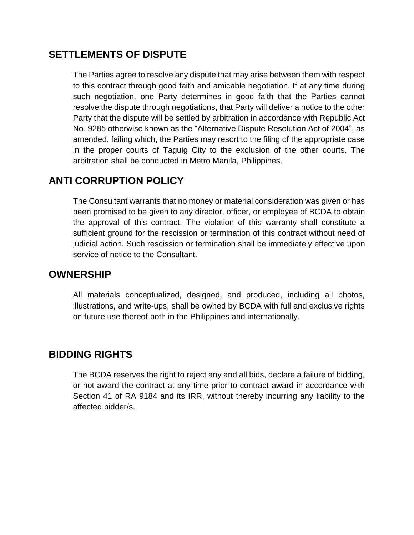#### **SETTLEMENTS OF DISPUTE**

The Parties agree to resolve any dispute that may arise between them with respect to this contract through good faith and amicable negotiation. If at any time during such negotiation, one Party determines in good faith that the Parties cannot resolve the dispute through negotiations, that Party will deliver a notice to the other Party that the dispute will be settled by arbitration in accordance with Republic Act No. 9285 otherwise known as the "Alternative Dispute Resolution Act of 2004", as amended, failing which, the Parties may resort to the filing of the appropriate case in the proper courts of Taguig City to the exclusion of the other courts. The arbitration shall be conducted in Metro Manila, Philippines.

## **ANTI CORRUPTION POLICY**

The Consultant warrants that no money or material consideration was given or has been promised to be given to any director, officer, or employee of BCDA to obtain the approval of this contract. The violation of this warranty shall constitute a sufficient ground for the rescission or termination of this contract without need of judicial action. Such rescission or termination shall be immediately effective upon service of notice to the Consultant.

#### **OWNERSHIP**

All materials conceptualized, designed, and produced, including all photos, illustrations, and write-ups, shall be owned by BCDA with full and exclusive rights on future use thereof both in the Philippines and internationally.

## **BIDDING RIGHTS**

The BCDA reserves the right to reject any and all bids, declare a failure of bidding, or not award the contract at any time prior to contract award in accordance with Section 41 of RA 9184 and its IRR, without thereby incurring any liability to the affected bidder/s.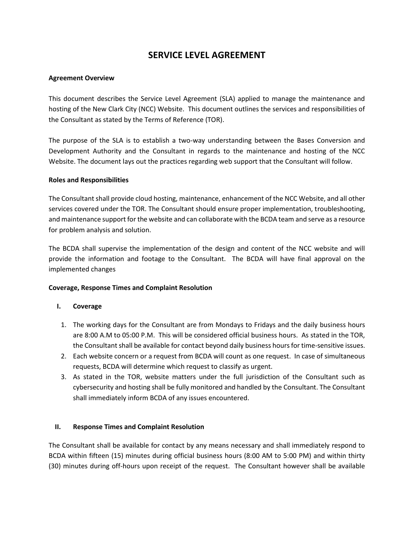#### **SERVICE LEVEL AGREEMENT**

#### **Agreement Overview**

This document describes the Service Level Agreement (SLA) applied to manage the maintenance and hosting of the New Clark City (NCC) Website. This document outlines the services and responsibilities of the Consultant as stated by the Terms of Reference (TOR).

The purpose of the SLA is to establish a two-way understanding between the Bases Conversion and Development Authority and the Consultant in regards to the maintenance and hosting of the NCC Website. The document lays out the practices regarding web support that the Consultant will follow.

#### **Roles and Responsibilities**

The Consultant shall provide cloud hosting, maintenance, enhancement of the NCC Website, and all other services covered under the TOR. The Consultant should ensure proper implementation, troubleshooting, and maintenance support for the website and can collaborate with the BCDA team and serve as a resource for problem analysis and solution.

The BCDA shall supervise the implementation of the design and content of the NCC website and will provide the information and footage to the Consultant. The BCDA will have final approval on the implemented changes

#### **Coverage, Response Times and Complaint Resolution**

#### **I. Coverage**

- 1. The working days for the Consultant are from Mondays to Fridays and the daily business hours are 8:00 A.M to 05:00 P.M. This will be considered official business hours. As stated in the TOR, the Consultant shall be available for contact beyond daily business hours for time-sensitive issues.
- 2. Each website concern or a request from BCDA will count as one request. In case of simultaneous requests, BCDA will determine which request to classify as urgent.
- 3. As stated in the TOR, website matters under the full jurisdiction of the Consultant such as cybersecurity and hosting shall be fully monitored and handled by the Consultant. The Consultant shall immediately inform BCDA of any issues encountered.

#### **II. Response Times and Complaint Resolution**

The Consultant shall be available for contact by any means necessary and shall immediately respond to BCDA within fifteen (15) minutes during official business hours (8:00 AM to 5:00 PM) and within thirty (30) minutes during off-hours upon receipt of the request. The Consultant however shall be available